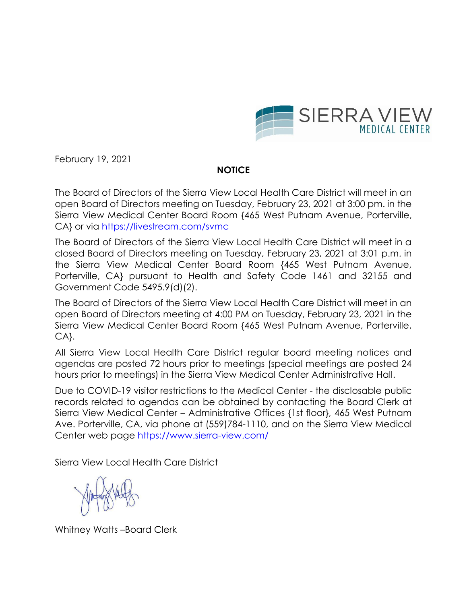

February 19, 2021

# **NOTICE**

The Board of Directors of the Sierra View Local Health Care District will meet in an open Board of Directors meeting on Tuesday, February 23, 2021 at 3:00 pm. in the Sierra View Medical Center Board Room {465 West Putnam Avenue, Porterville, CA} or via<https://livestream.com/svmc>

The Board of Directors of the Sierra View Local Health Care District will meet in a closed Board of Directors meeting on Tuesday, February 23, 2021 at 3:01 p.m. in the Sierra View Medical Center Board Room {465 West Putnam Avenue, Porterville, CA} pursuant to Health and Safety Code 1461 and 32155 and Government Code 5495.9(d)(2).

The Board of Directors of the Sierra View Local Health Care District will meet in an open Board of Directors meeting at 4:00 PM on Tuesday, February 23, 2021 in the Sierra View Medical Center Board Room {465 West Putnam Avenue, Porterville, CA}.

All Sierra View Local Health Care District regular board meeting notices and agendas are posted 72 hours prior to meetings (special meetings are posted 24 hours prior to meetings) in the Sierra View Medical Center Administrative Hall.

Due to COVID-19 visitor restrictions to the Medical Center - the disclosable public records related to agendas can be obtained by contacting the Board Clerk at Sierra View Medical Center – Administrative Offices {1st floor}, 465 West Putnam Ave. Porterville, CA, via phone at (559)784-1110, and on the Sierra View Medical Center web page<https://www.sierra-view.com/>

Sierra View Local Health Care District

Whitney Watts –Board Clerk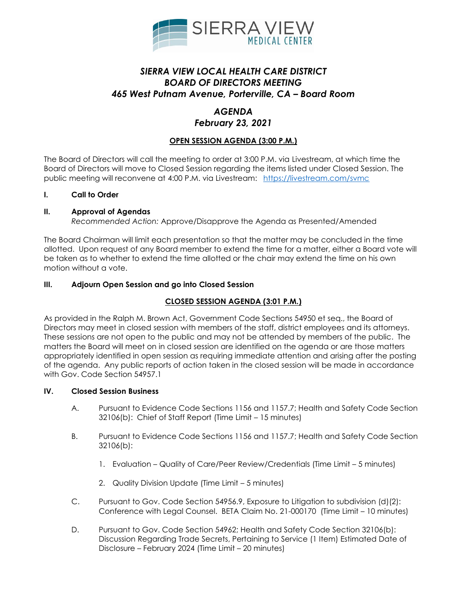

# *SIERRA VIEW LOCAL HEALTH CARE DISTRICT BOARD OF DIRECTORS MEETING 465 West Putnam Avenue, Porterville, CA – Board Room*

# *AGENDA*

### *February 23, 2021*

## **OPEN SESSION AGENDA (3:00 P.M.)**

The Board of Directors will call the meeting to order at 3:00 P.M. via Livestream, at which time the Board of Directors will move to Closed Session regarding the items listed under Closed Session. The public meeting will reconvene at 4:00 P.M. via Livestream: <https://livestream.com/svmc>

### **I. Call to Order**

### **II. Approval of Agendas**

*Recommended Action:* Approve/Disapprove the Agenda as Presented/Amended

The Board Chairman will limit each presentation so that the matter may be concluded in the time allotted. Upon request of any Board member to extend the time for a matter, either a Board vote will be taken as to whether to extend the time allotted or the chair may extend the time on his own motion without a vote.

### **III. Adjourn Open Session and go into Closed Session**

### **CLOSED SESSION AGENDA (3:01 P.M.)**

As provided in the Ralph M. Brown Act, Government Code Sections 54950 et seq., the Board of Directors may meet in closed session with members of the staff, district employees and its attorneys. These sessions are not open to the public and may not be attended by members of the public. The matters the Board will meet on in closed session are identified on the agenda or are those matters appropriately identified in open session as requiring immediate attention and arising after the posting of the agenda. Any public reports of action taken in the closed session will be made in accordance with Gov. Code Section 54957.1

#### **IV. Closed Session Business**

- A. Pursuant to Evidence Code Sections 1156 and 1157.7; Health and Safety Code Section 32106(b): Chief of Staff Report (Time Limit – 15 minutes)
- B. Pursuant to Evidence Code Sections 1156 and 1157.7; Health and Safety Code Section 32106(b):
	- 1. Evaluation Quality of Care/Peer Review/Credentials (Time Limit 5 minutes)
	- 2. Quality Division Update (Time Limit 5 minutes)
- C. Pursuant to Gov. Code Section 54956.9, Exposure to Litigation to subdivision (d)(2): Conference with Legal Counsel. BETA Claim No. 21-000170 (Time Limit – 10 minutes)
- D. Pursuant to Gov. Code Section 54962; Health and Safety Code Section 32106(b): Discussion Regarding Trade Secrets, Pertaining to Service (1 Item) Estimated Date of Disclosure – February 2024 (Time Limit – 20 minutes)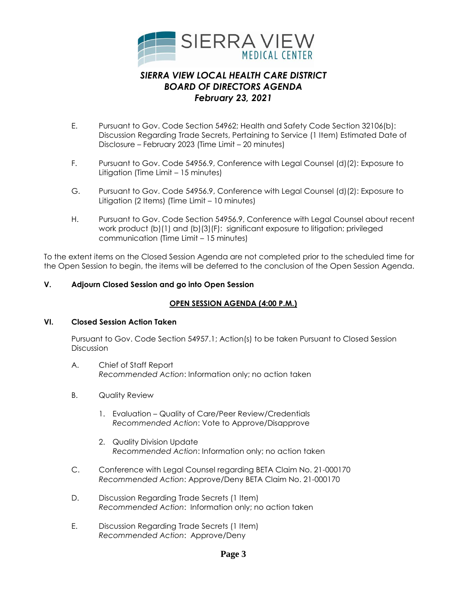

- E. Pursuant to Gov. Code Section 54962; Health and Safety Code Section 32106(b): Discussion Regarding Trade Secrets, Pertaining to Service (1 Item) Estimated Date of Disclosure – February 2023 (Time Limit – 20 minutes)
- F. Pursuant to Gov. Code 54956.9, Conference with Legal Counsel (d)(2): Exposure to Litigation (Time Limit – 15 minutes)
- G. Pursuant to Gov. Code 54956.9, Conference with Legal Counsel (d)(2): Exposure to Litigation (2 Items) (Time Limit – 10 minutes)
- H. Pursuant to Gov. Code Section 54956.9, Conference with Legal Counsel about recent work product (b)(1) and (b)(3)(F): significant exposure to litigation; privileged communication (Time Limit – 15 minutes)

To the extent items on the Closed Session Agenda are not completed prior to the scheduled time for the Open Session to begin, the items will be deferred to the conclusion of the Open Session Agenda.

### **V. Adjourn Closed Session and go into Open Session**

#### **OPEN SESSION AGENDA (4:00 P.M.)**

#### **VI. Closed Session Action Taken**

Pursuant to Gov. Code Section 54957.1; Action(s) to be taken Pursuant to Closed Session **Discussion** 

- A. Chief of Staff Report *Recommended Action*: Information only; no action taken
- B. Quality Review
	- 1. Evaluation Quality of Care/Peer Review/Credentials *Recommended Action*: Vote to Approve/Disapprove
	- 2. Quality Division Update *Recommended Action*: Information only; no action taken
- C. Conference with Legal Counsel regarding BETA Claim No. 21-000170 *Recommended Action*: Approve/Deny BETA Claim No. 21-000170
- D. Discussion Regarding Trade Secrets (1 Item) *Recommended Action*: Information only; no action taken
- E. Discussion Regarding Trade Secrets (1 Item) *Recommended Action*: Approve/Deny

## **Page 3**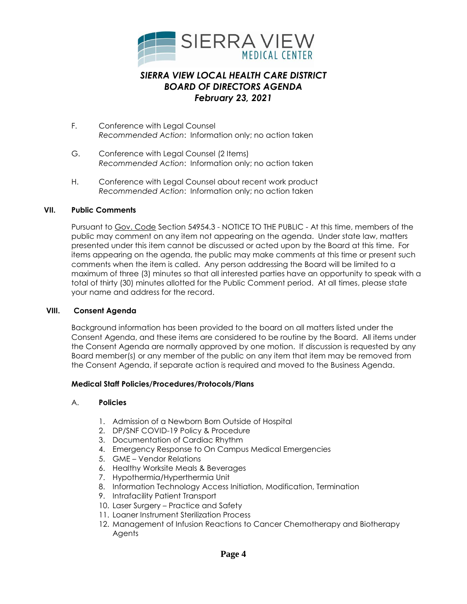

- F. Conference with Legal Counsel *Recommended Action*: Information only; no action taken
- G. Conference with Legal Counsel (2 Items) *Recommended Action*: Information only; no action taken
- H. Conference with Legal Counsel about recent work product *Recommended Action*: Information only; no action taken

#### **VII. Public Comments**

Pursuant to Gov. Code Section 54954.3 - NOTICE TO THE PUBLIC - At this time, members of the public may comment on any item not appearing on the agenda. Under state law, matters presented under this item cannot be discussed or acted upon by the Board at this time. For items appearing on the agenda, the public may make comments at this time or present such comments when the item is called. Any person addressing the Board will be limited to a maximum of three (3) minutes so that all interested parties have an opportunity to speak with a total of thirty (30) minutes allotted for the Public Comment period. At all times, please state your name and address for the record.

#### **VIII. Consent Agenda**

Background information has been provided to the board on all matters listed under the Consent Agenda, and these items are considered to be routine by the Board. All items under the Consent Agenda are normally approved by one motion. If discussion is requested by any Board member(s) or any member of the public on any item that item may be removed from the Consent Agenda, if separate action is required and moved to the Business Agenda.

#### **Medical Staff Policies/Procedures/Protocols/Plans**

#### A. **Policies**

- 1. Admission of a Newborn Born Outside of Hospital
- 2. DP/SNF COVID-19 Policy & Procedure
- 3. Documentation of Cardiac Rhythm
- 4. Emergency Response to On Campus Medical Emergencies
- 5. GME Vendor Relations
- 6. Healthy Worksite Meals & Beverages
- 7. Hypothermia/Hyperthermia Unit
- 8. Information Technology Access Initiation, Modification, Termination
- 9. Intrafacility Patient Transport
- 10. Laser Surgery Practice and Safety
- 11. Loaner Instrument Sterilization Process
- 12. Management of Infusion Reactions to Cancer Chemotherapy and Biotherapy Agents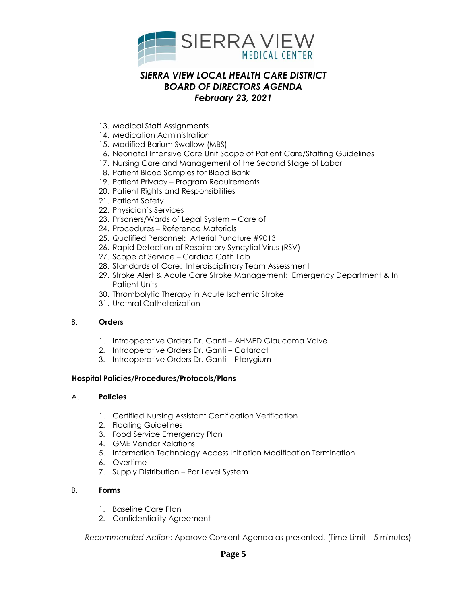

- 13. Medical Staff Assignments
- 14. Medication Administration
- 15. Modified Barium Swallow (MBS)
- 16. Neonatal Intensive Care Unit Scope of Patient Care/Staffing Guidelines
- 17. Nursing Care and Management of the Second Stage of Labor
- 18. Patient Blood Samples for Blood Bank
- 19. Patient Privacy Program Requirements
- 20. Patient Rights and Responsibilities
- 21. Patient Safety
- 22. Physician's Services
- 23. Prisoners/Wards of Legal System Care of
- 24. Procedures Reference Materials
- 25. Qualified Personnel: Arterial Puncture #9013
- 26. Rapid Detection of Respiratory Syncytial Virus (RSV)
- 27. Scope of Service Cardiac Cath Lab
- 28. Standards of Care: Interdisciplinary Team Assessment
- 29. Stroke Alert & Acute Care Stroke Management: Emergency Department & In Patient Units
- 30. Thrombolytic Therapy in Acute Ischemic Stroke
- 31. Urethral Catheterization

#### B. **Orders**

- 1. Intraoperative Orders Dr. Ganti AHMED Glaucoma Valve
- 2. Intraoperative Orders Dr. Ganti Cataract
- 3. Intraoperative Orders Dr. Ganti Pterygium

#### **Hospital Policies/Procedures/Protocols/Plans**

#### A. **Policies**

- 1. Certified Nursing Assistant Certification Verification
- 2. Floating Guidelines
- 3. Food Service Emergency Plan
- 4. GME Vendor Relations
- 5. Information Technology Access Initiation Modification Termination
- 6. Overtime
- 7. Supply Distribution Par Level System

#### B. **Forms**

- 1. Baseline Care Plan
- 2. Confidentiality Agreement

*Recommended Action*: Approve Consent Agenda as presented. (Time Limit – 5 minutes)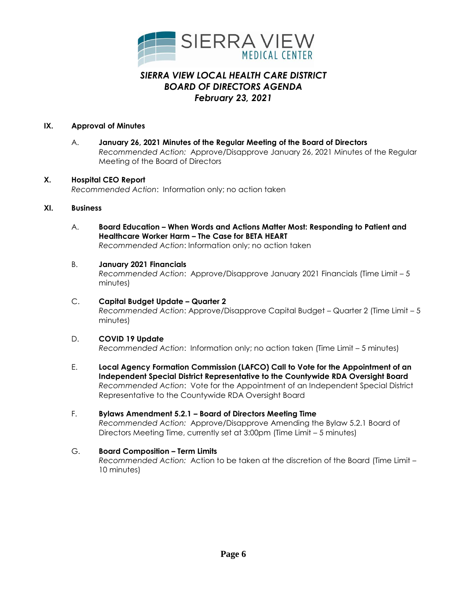

#### **IX. Approval of Minutes**

A. **January 26, 2021 Minutes of the Regular Meeting of the Board of Directors** *Recommended Action:* Approve/Disapprove January 26, 2021 Minutes of the Regular Meeting of the Board of Directors

### **X. Hospital CEO Report**

*Recommended Action*: Information only; no action taken

#### **XI. Business**

- A. **Board Education – When Words and Actions Matter Most: Responding to Patient and Healthcare Worker Harm – The Case for BETA HEART** *Recommended Action*: Information only; no action taken
- B. **January 2021 Financials**

*Recommended Action*: Approve/Disapprove January 2021 Financials (Time Limit – 5 minutes)

- C. **Capital Budget Update – Quarter 2** *Recommended Action*: Approve/Disapprove Capital Budget – Quarter 2 (Time Limit – 5 minutes)
- D. **COVID 19 Update** *Recommended Action*: Information only; no action taken (Time Limit – 5 minutes)
- E. **Local Agency Formation Commission (LAFCO) Call to Vote for the Appointment of an Independent Special District Representative to the Countywide RDA Oversight Board** *Recommended Action*: Vote for the Appointment of an Independent Special District Representative to the Countywide RDA Oversight Board
- F. **Bylaws Amendment 5.2.1 – Board of Directors Meeting Time** *Recommended Action:* Approve/Disapprove Amending the Bylaw 5.2.1 Board of Directors Meeting Time, currently set at 3:00pm (Time Limit – 5 minutes)
- G. **Board Composition – Term Limits** *Recommended Action:* Action to be taken at the discretion of the Board (Time Limit – 10 minutes)